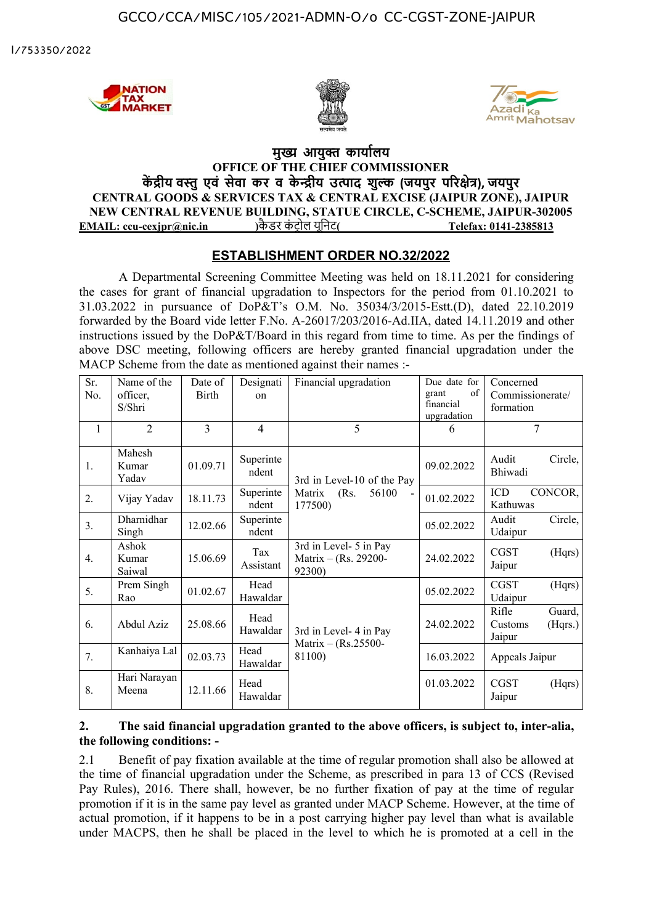I/753350/2022







## **मुख्य आयुक्त कार्यालय OFFICE OF THE CHIEF COMMISSIONER कें द्रीय वस्तुएवं सेवा कर व के न्द्रीय उत्पाद शुल्क (जयपुर परिक्षेत्र), जयपुर CENTRAL GOODS & SERVICES TAX & CENTRAL EXCISE (JAIPUR ZONE), JAIPUR NEW CENTRAL REVENUE BUILDING, STATUE CIRCLE, C-SCHEME, JAIPUR-302005 EMAIL: ccu-cexjpr@nic.in )** कै डरकं ट्र ोलयूनि
ट **( Telefax: 0141-2385813**

## **ESTABLISHMENT ORDER NO.32/2022**

A Departmental Screening Committee Meeting was held on 18.11.2021 for considering the cases for grant of financial upgradation to Inspectors for the period from 01.10.2021 to 31.03.2022 in pursuance of DoP&T's O.M. No. 35034/3/2015-Estt.(D), dated 22.10.2019 forwarded by the Board vide letter F.No. A-26017/203/2016-Ad.IIA, dated 14.11.2019 and other instructions issued by the DoP&T/Board in this regard from time to time. As per the findings of above DSC meeting, following officers are hereby granted financial upgradation under the MACP Scheme from the date as mentioned against their names :-

| Sr.<br>No.     | Name of the<br>officer,<br>S/Shri | Date of<br>Birth | Designati<br>$_{\rm on}$ | Financial upgradation                                            | Due date for<br>of<br>grant<br>financial<br>upgradation | Concerned<br>Commissionerate/<br>formation      |
|----------------|-----------------------------------|------------------|--------------------------|------------------------------------------------------------------|---------------------------------------------------------|-------------------------------------------------|
| $\mathbf{1}$   | $\overline{2}$                    | 3                | $\overline{4}$           | 5                                                                | 6                                                       | $\overline{7}$                                  |
| 1.             | Mahesh<br>Kumar<br>Yadav          | 01.09.71         | Superinte<br>ndent       | 3rd in Level-10 of the Pay<br>(Rs.<br>56100<br>Matrix<br>177500) | 09.02.2022                                              | Circle,<br>Audit<br>Bhiwadi                     |
| 2.             | Vijay Yadav                       | 18.11.73         | Superinte<br>ndent       |                                                                  | 01.02.2022                                              | ICD<br>CONCOR,<br>Kathuwas                      |
| 3 <sub>1</sub> | Dharnidhar<br>Singh               | 12.02.66         | Superinte<br>ndent       |                                                                  | 05.02.2022                                              | Audit<br>Circle,<br>Udaipur                     |
| 4.             | Ashok<br>Kumar<br>Saiwal          | 15.06.69         | Tax<br>Assistant         | 3rd in Level- 5 in Pay<br>Matrix – (Rs. 29200-<br>92300)         | 24.02.2022                                              | <b>CGST</b><br>(Hqrs)<br>Jaipur                 |
| 5.             | Prem Singh<br>Rao                 | 01.02.67         | Head<br>Hawaldar         | 3rd in Level-4 in Pay<br>Matrix - (Rs.25500-<br>81100)           | 05.02.2022                                              | <b>CGST</b><br>(Hqrs)<br>Udaipur                |
| 6.             | Abdul Aziz                        | 25.08.66         | Head<br>Hawaldar         |                                                                  | 24.02.2022                                              | Rifle<br>Guard,<br>Customs<br>(Hqrs.)<br>Jaipur |
| 7.             | Kanhaiya Lal                      | 02.03.73         | Head<br>Hawaldar         |                                                                  | 16.03.2022                                              | Appeals Jaipur                                  |
| 8.             | Hari Narayan<br>Meena             | 12.11.66         | Head<br>Hawaldar         |                                                                  | 01.03.2022                                              | <b>CGST</b><br>(Hqrs)<br>Jaipur                 |

## **2. The said financial upgradation granted to the above officers, is subject to, inter-alia, the following conditions: -**

2.1 Benefit of pay fixation available at the time of regular promotion shall also be allowed at the time of financial upgradation under the Scheme, as prescribed in para 13 of CCS (Revised Pay Rules), 2016. There shall, however, be no further fixation of pay at the time of regular promotion if it is in the same pay level as granted under MACP Scheme. However, at the time of actual promotion, if it happens to be in a post carrying higher pay level than what is available under MACPS, then he shall be placed in the level to which he is promoted at a cell in the